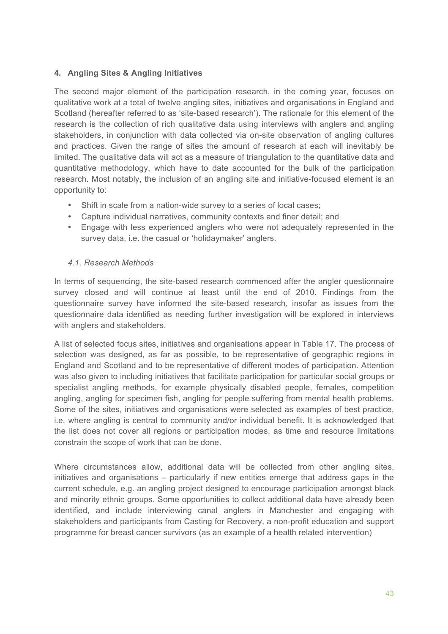# 4. Angling Sites & Angling Initiatives

The second major element of the participation research, in the coming year, focuses on qualitative work at a total of twelve angling sites, initiatives and organisations in England and Scotland (hereafter referred to as 'site-based research'). The rationale for this element of the research is the collection of rich qualitative data using interviews with anglers and angling stakeholders, in conjunction with data collected via on-site observation of angling cultures and practices. Given the range of sites the amount of research at each will inevitably be limited. The qualitative data will act as a measure of triangulation to the quantitative data and quantitative methodology, which have to date accounted for the bulk of the participation research. Most notably, the inclusion of an angling site and initiative-focused element is an opportunity to:

- Shift in scale from a nation-wide survey to a series of local cases;
- Capture individual narratives, community contexts and finer detail; and
- Engage with less experienced anglers who were not adequately represented in the survey data, i.e. the casual or 'holidaymaker' anglers.

## 4.1 Research Methods

In terms of sequencing, the site-based research commenced after the angler questionnaire survey closed and will continue at least until the end of 2010. Findings from the questionnaire survey have informed the site-based research, insofar as issues from the questionnaire data identified as needing further investigation will be explored in interviews with anglers and stakeholders.

A list of selected focus sites, initiatives and organisations appear in Table 17. The process of selection was designed, as far as possible, to be representative of geographic regions in England and Scotland and to be representative of different modes of participation. Attention was also given to including initiatives that facilitate participation for particular social groups or specialist angling methods, for example physically disabled people, females, competition angling, angling for specimen fish, angling for people suffering from mental health problems. Some of the sites, initiatives and organisations were selected as examples of best practice, i.e. where angling is central to community and/or individual benefit. It is acknowledged that the list does not cover all regions or participation modes, as time and resource limitations constrain the scope of work that can be done.

Where circumstances allow, additional data will be collected from other angling sites, initiatives and organisations – particularly if new entities emerge that address gaps in the current schedule, e.g. an angling project designed to encourage participation amongst black and minority ethnic groups. Some opportunities to collect additional data have already been identified, and include interviewing canal anglers in Manchester and engaging with stakeholders and participants from Casting for Recovery, a non-profit education and support programme for breast cancer survivors (as an example of a health related intervention)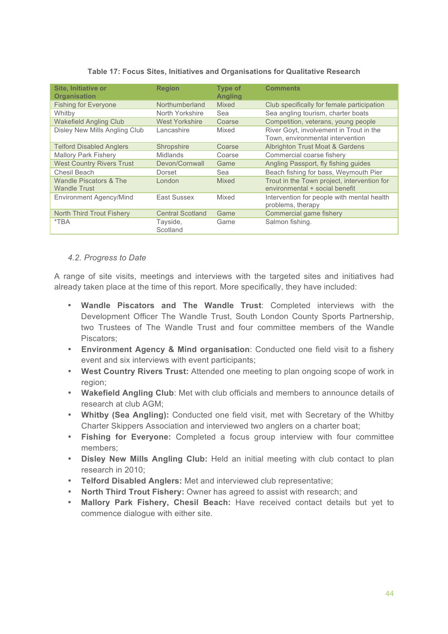| Site, Initiative or                           | <b>Region</b>           | <b>Type of</b> | <b>Comments</b>                                                               |
|-----------------------------------------------|-------------------------|----------------|-------------------------------------------------------------------------------|
| <b>Organisation</b>                           |                         | <b>Angling</b> |                                                                               |
| <b>Fishing for Everyone</b>                   | Northumberland          | <b>Mixed</b>   | Club specifically for female participation                                    |
| Whitby                                        | North Yorkshire         | Sea            | Sea angling tourism, charter boats                                            |
| <b>Wakefield Angling Club</b>                 | <b>West Yorkshire</b>   | Coarse         | Competition, veterans, young people                                           |
| Disley New Mills Angling Club                 | Lancashire              | Mixed          | River Goyt, involvement in Trout in the<br>Town, environmental intervention   |
| <b>Telford Disabled Anglers</b>               | Shropshire              | Coarse         | <b>Albrighton Trust Moat &amp; Gardens</b>                                    |
| <b>Mallory Park Fishery</b>                   | Midlands                | Coarse         | Commercial coarse fishery                                                     |
| <b>West Country Rivers Trust</b>              | Devon/Cornwall          | Game           | Angling Passport, fly fishing guides                                          |
| Chesil Beach                                  | Dorset                  | Sea            | Beach fishing for bass, Weymouth Pier                                         |
| Wandle Piscators & The<br><b>Wandle Trust</b> | London                  | Mixed          | Trout in the Town project, intervention for<br>environmental + social benefit |
| Environment Agency/Mind                       | East Sussex             | Mixed          | Intervention for people with mental health<br>problems, therapy               |
| North Third Trout Fishery                     | <b>Central Scotland</b> | Game           | Commercial game fishery                                                       |
| $*TBA$                                        | Tayside,<br>Scotland    | Game           | Salmon fishing.                                                               |

#### Table 17: Focus Sites, Initiatives and Organisations for Qualitative Research

### 4.2. Progress to Date

A range of site visits, meetings and interviews with the targeted sites and initiatives had already taken place at the time of this report. More specifically, they have included:

- Wandle Piscators and The Wandle Trust: Completed interviews with the Development Officer The Wandle Trust, South London County Sports Partnership, two Trustees of The Wandle Trust and four committee members of the Wandle Piscators:
- Environment Agency & Mind organisation: Conducted one field visit to a fishery event and six interviews with event participants;
- West Country Rivers Trust: Attended one meeting to plan ongoing scope of work in region;
- Wakefield Angling Club: Met with club officials and members to announce details of research at club AGM:
- Whitby (Sea Angling): Conducted one field visit, met with Secretary of the Whitby Charter Skippers Association and interviewed two anglers on a charter boat;
- Fishing for Everyone: Completed a focus group interview with four committee members:
- Disley New Mills Angling Club: Held an initial meeting with club contact to plan research in 2010:
- Telford Disabled Anglers: Met and interviewed club representative;
- North Third Trout Fishery: Owner has agreed to assist with research; and
- $\bullet$  . Mallory Park Fishery, Chesil Beach: Have received contact details but yet to commence dialogue with either site.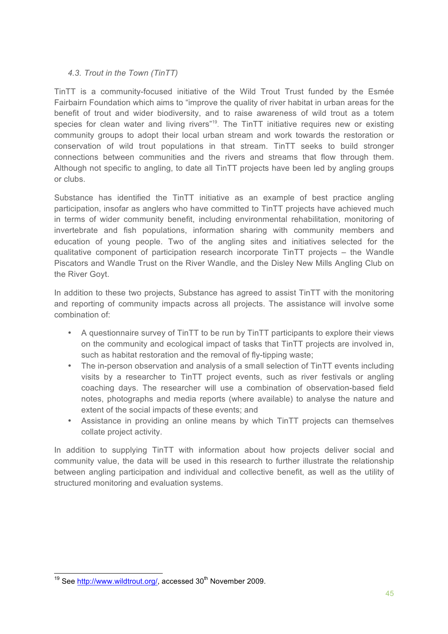# 4.3. Trout in the Town (TinTT)

TinTT is a community-focused initiative of the Wild Trout Trust funded by the Esmée Fairbairn Foundation which aims to "improve the quality of river habitat in urban areas for the benefit of trout and wider biodiversity, and to raise awareness of wild trout as a totem species for clean water and living rivers"<sup>19</sup>. The TinTT initiative requires new or existing community groups to adopt their local urban stream and work towards the restoration or conservation of wild trout populations in that stream. TinTT seeks to build stronger connections between communities and the rivers and streams that flow through them. Although not specific to angling, to date all TinTT projects have been led by angling groups or clubs

Substance has identified the TinTT initiative as an example of best practice angling participation, insofar as anglers who have committed to TinTT projects have achieved much in terms of wider community benefit, including environmental rehabilitation, monitoring of invertebrate and fish populations, information sharing with community members and education of young people. Two of the angling sites and initiatives selected for the qualitative component of participation research incorporate TinTT projects – the Wandle Piscators and Wandle Trust on the River Wandle, and the Disley New Mills Angling Club on the River Goyt.

In addition to these two projects, Substance has agreed to assist TinTT with the monitoring and reporting of community impacts across all projects. The assistance will involve some combination of:

- A questionnaire survey of TinTT to be run by TinTT participants to explore their views on the community and ecological impact of tasks that TinTT projects are involved in, such as habitat restoration and the removal of fly-tipping waste;
- The in-person observation and analysis of a small selection of TinTT events including  $\bullet$  . visits by a researcher to TinTT project events, such as river festivals or angling coaching days. The researcher will use a combination of observation-based field notes, photographs and media reports (where available) to analyse the nature and extent of the social impacts of these events; and
- Assistance in providing an online means by which TinTT projects can themselves collate project activity.

In addition to supplying TinTT with information about how projects deliver social and community value, the data will be used in this research to further illustrate the relationship between angling participation and individual and collective benefit, as well as the utility of structured monitoring and evaluation systems.

<sup>&</sup>lt;sup>19</sup> See http://www.wildtrout.org/, accessed 30<sup>th</sup> November 2009.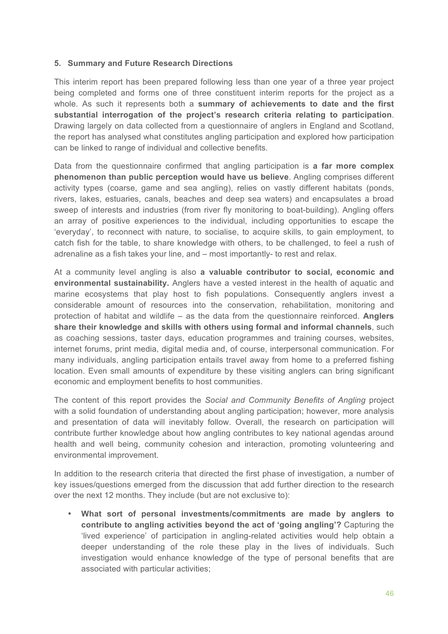## 5. Summary and Future Research Directions

This interim report has been prepared following less than one year of a three year project being completed and forms one of three constituent interim reports for the project as a whole. As such it represents both a summary of achievements to date and the first substantial interrogation of the project's research criteria relating to participation. Drawing largely on data collected from a guestionnaire of anglers in England and Scotland, the report has analysed what constitutes angling participation and explored how participation can be linked to range of individual and collective benefits.

Data from the questionnaire confirmed that angling participation is a far more complex phenomenon than public perception would have us believe. Angling comprises different activity types (coarse, game and sea angling), relies on vastly different habitats (ponds, rivers, lakes, estuaries, canals, beaches and deep sea waters) and encapsulates a broad sweep of interests and industries (from river fly monitoring to boat-building). Angling offers an array of positive experiences to the individual, including opportunities to escape the 'everyday', to reconnect with nature, to socialise, to acquire skills, to gain employment, to catch fish for the table, to share knowledge with others, to be challenged, to feel a rush of adrenaline as a fish takes your line, and – most importantly- to rest and relax.

At a community level angling is also a valuable contributor to social, economic and environmental sustainability. Anglers have a vested interest in the health of aquatic and marine ecosystems that play host to fish populations. Consequently anglers invest a considerable amount of resources into the conservation, rehabilitation, monitoring and protection of habitat and wildlife  $-$  as the data from the questionnaire reinforced. Anglers share their knowledge and skills with others using formal and informal channels, such as coaching sessions, taster days, education programmes and training courses, websites, internet forums, print media, digital media and, of course, interpersonal communication. For many individuals, angling participation entails travel away from home to a preferred fishing location. Even small amounts of expenditure by these visiting anglers can bring significant economic and employment benefits to host communities.

The content of this report provides the Social and Community Benefits of Angling project with a solid foundation of understanding about angling participation; however, more analysis and presentation of data will inevitably follow. Overall, the research on participation will contribute further knowledge about how angling contributes to key national agendas around health and well being, community cohesion and interaction, promoting volunteering and environmental improvement.

In addition to the research criteria that directed the first phase of investigation, a number of key issues/questions emerged from the discussion that add further direction to the research over the next 12 months. They include (but are not exclusive to):

What sort of personal investments/commitments are made by anglers to contribute to angling activities beyond the act of 'going angling'? Capturing the 'lived experience' of participation in angling-related activities would help obtain a deeper understanding of the role these play in the lives of individuals. Such investigation would enhance knowledge of the type of personal benefits that are associated with particular activities: